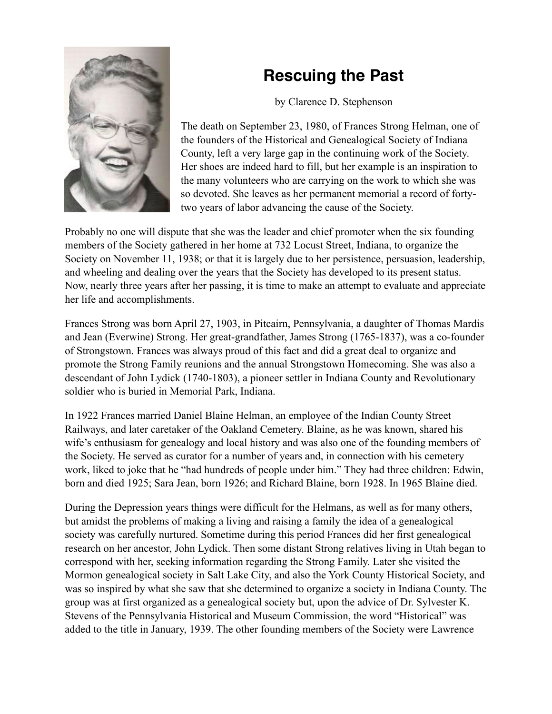## **Rescuing the Past**



by Clarence D. Stephenson

The death on September 23, 1980, of Frances Strong Helman, one of the founders of the Historical and Genealogical Society of Indiana County, left a very large gap in the continuing work of the Society. Her shoes are indeed hard to fill, but her example is an inspiration to the many volunteers who are carrying on the work to which she was so devoted. She leaves as her permanent memorial a record of fortytwo years of labor advancing the cause of the Society.

Probably no one will dispute that she was the leader and chief promoter when the six founding members of the Society gathered in her home at 732 Locust Street, Indiana, to organize the Society on November 11, 1938; or that it is largely due to her persistence, persuasion, leadership, and wheeling and dealing over the years that the Society has developed to its present status. Now, nearly three years after her passing, it is time to make an attempt to evaluate and appreciate her life and accomplishments.

Frances Strong was born April 27, 1903, in Pitcairn, Pennsylvania, a daughter of Thomas Mardis and Jean (Everwine) Strong. Her great-grandfather, James Strong (1765-1837), was a co-founder of Strongstown. Frances was always proud of this fact and did a great deal to organize and promote the Strong Family reunions and the annual Strongstown Homecoming. She was also a descendant of John Lydick (1740-1803), a pioneer settler in Indiana County and Revolutionary soldier who is buried in Memorial Park, Indiana.

In 1922 Frances married Daniel Blaine Helman, an employee of the Indian County Street Railways, and later caretaker of the Oakland Cemetery. Blaine, as he was known, shared his wife's enthusiasm for genealogy and local history and was also one of the founding members of the Society. He served as curator for a number of years and, in connection with his cemetery work, liked to joke that he "had hundreds of people under him." They had three children: Edwin, born and died 1925; Sara Jean, born 1926; and Richard Blaine, born 1928. In 1965 Blaine died.

During the Depression years things were difficult for the Helmans, as well as for many others, but amidst the problems of making a living and raising a family the idea of a genealogical society was carefully nurtured. Sometime during this period Frances did her first genealogical research on her ancestor, John Lydick. Then some distant Strong relatives living in Utah began to correspond with her, seeking information regarding the Strong Family. Later she visited the Mormon genealogical society in Salt Lake City, and also the York County Historical Society, and was so inspired by what she saw that she determined to organize a society in Indiana County. The group was at first organized as a genealogical society but, upon the advice of Dr. Sylvester K. Stevens of the Pennsylvania Historical and Museum Commission, the word "Historical" was added to the title in January, 1939. The other founding members of the Society were Lawrence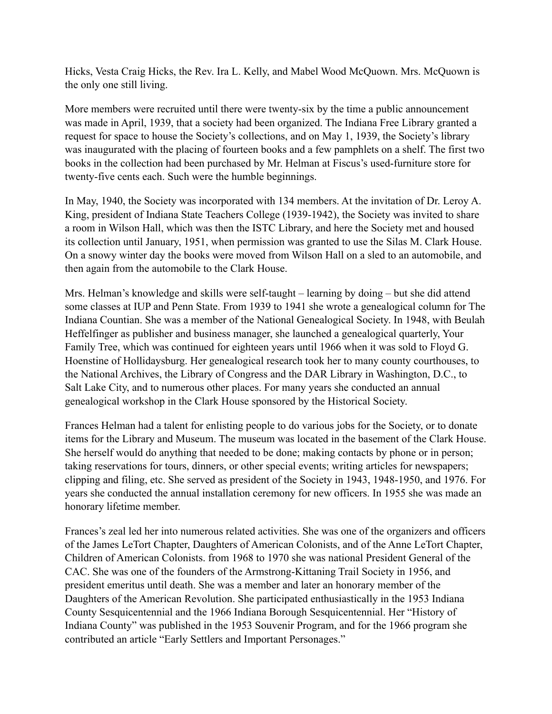Hicks, Vesta Craig Hicks, the Rev. Ira L. Kelly, and Mabel Wood McQuown. Mrs. McQuown is the only one still living.

More members were recruited until there were twenty-six by the time a public announcement was made in April, 1939, that a society had been organized. The Indiana Free Library granted a request for space to house the Society's collections, and on May 1, 1939, the Society's library was inaugurated with the placing of fourteen books and a few pamphlets on a shelf. The first two books in the collection had been purchased by Mr. Helman at Fiscus's used-furniture store for twenty-five cents each. Such were the humble beginnings.

In May, 1940, the Society was incorporated with 134 members. At the invitation of Dr. Leroy A. King, president of Indiana State Teachers College (1939-1942), the Society was invited to share a room in Wilson Hall, which was then the ISTC Library, and here the Society met and housed its collection until January, 1951, when permission was granted to use the Silas M. Clark House. On a snowy winter day the books were moved from Wilson Hall on a sled to an automobile, and then again from the automobile to the Clark House.

Mrs. Helman's knowledge and skills were self-taught – learning by doing – but she did attend some classes at IUP and Penn State. From 1939 to 1941 she wrote a genealogical column for The Indiana Countian. She was a member of the National Genealogical Society. In 1948, with Beulah Heffelfinger as publisher and business manager, she launched a genealogical quarterly, Your Family Tree, which was continued for eighteen years until 1966 when it was sold to Floyd G. Hoenstine of Hollidaysburg. Her genealogical research took her to many county courthouses, to the National Archives, the Library of Congress and the DAR Library in Washington, D.C., to Salt Lake City, and to numerous other places. For many years she conducted an annual genealogical workshop in the Clark House sponsored by the Historical Society.

Frances Helman had a talent for enlisting people to do various jobs for the Society, or to donate items for the Library and Museum. The museum was located in the basement of the Clark House. She herself would do anything that needed to be done; making contacts by phone or in person; taking reservations for tours, dinners, or other special events; writing articles for newspapers; clipping and filing, etc. She served as president of the Society in 1943, 1948-1950, and 1976. For years she conducted the annual installation ceremony for new officers. In 1955 she was made an honorary lifetime member.

Frances's zeal led her into numerous related activities. She was one of the organizers and officers of the James LeTort Chapter, Daughters of American Colonists, and of the Anne LeTort Chapter, Children of American Colonists. from 1968 to 1970 she was national President General of the CAC. She was one of the founders of the Armstrong-Kittaning Trail Society in 1956, and president emeritus until death. She was a member and later an honorary member of the Daughters of the American Revolution. She participated enthusiastically in the 1953 Indiana County Sesquicentennial and the 1966 Indiana Borough Sesquicentennial. Her "History of Indiana County" was published in the 1953 Souvenir Program, and for the 1966 program she contributed an article "Early Settlers and Important Personages."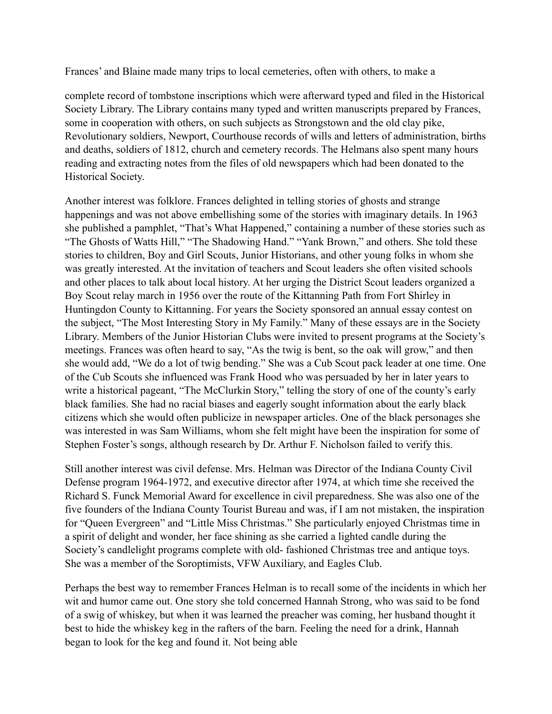Frances' and Blaine made many trips to local cemeteries, often with others, to make a

complete record of tombstone inscriptions which were afterward typed and filed in the Historical Society Library. The Library contains many typed and written manuscripts prepared by Frances, some in cooperation with others, on such subjects as Strongstown and the old clay pike, Revolutionary soldiers, Newport, Courthouse records of wills and letters of administration, births and deaths, soldiers of 1812, church and cemetery records. The Helmans also spent many hours reading and extracting notes from the files of old newspapers which had been donated to the Historical Society.

Another interest was folklore. Frances delighted in telling stories of ghosts and strange happenings and was not above embellishing some of the stories with imaginary details. In 1963 she published a pamphlet, "That's What Happened," containing a number of these stories such as "The Ghosts of Watts Hill," "The Shadowing Hand." "Yank Brown," and others. She told these stories to children, Boy and Girl Scouts, Junior Historians, and other young folks in whom she was greatly interested. At the invitation of teachers and Scout leaders she often visited schools and other places to talk about local history. At her urging the District Scout leaders organized a Boy Scout relay march in 1956 over the route of the Kittanning Path from Fort Shirley in Huntingdon County to Kittanning. For years the Society sponsored an annual essay contest on the subject, "The Most Interesting Story in My Family." Many of these essays are in the Society Library. Members of the Junior Historian Clubs were invited to present programs at the Society's meetings. Frances was often heard to say, "As the twig is bent, so the oak will grow," and then she would add, "We do a lot of twig bending." She was a Cub Scout pack leader at one time. One of the Cub Scouts she influenced was Frank Hood who was persuaded by her in later years to write a historical pageant, "The McClurkin Story," telling the story of one of the county's early black families. She had no racial biases and eagerly sought information about the early black citizens which she would often publicize in newspaper articles. One of the black personages she was interested in was Sam Williams, whom she felt might have been the inspiration for some of Stephen Foster's songs, although research by Dr. Arthur F. Nicholson failed to verify this.

Still another interest was civil defense. Mrs. Helman was Director of the Indiana County Civil Defense program 1964-1972, and executive director after 1974, at which time she received the Richard S. Funck Memorial Award for excellence in civil preparedness. She was also one of the five founders of the Indiana County Tourist Bureau and was, if I am not mistaken, the inspiration for "Queen Evergreen" and "Little Miss Christmas." She particularly enjoyed Christmas time in a spirit of delight and wonder, her face shining as she carried a lighted candle during the Society's candlelight programs complete with old- fashioned Christmas tree and antique toys. She was a member of the Soroptimists, VFW Auxiliary, and Eagles Club.

Perhaps the best way to remember Frances Helman is to recall some of the incidents in which her wit and humor came out. One story she told concerned Hannah Strong, who was said to be fond of a swig of whiskey, but when it was learned the preacher was coming, her husband thought it best to hide the whiskey keg in the rafters of the barn. Feeling the need for a drink, Hannah began to look for the keg and found it. Not being able